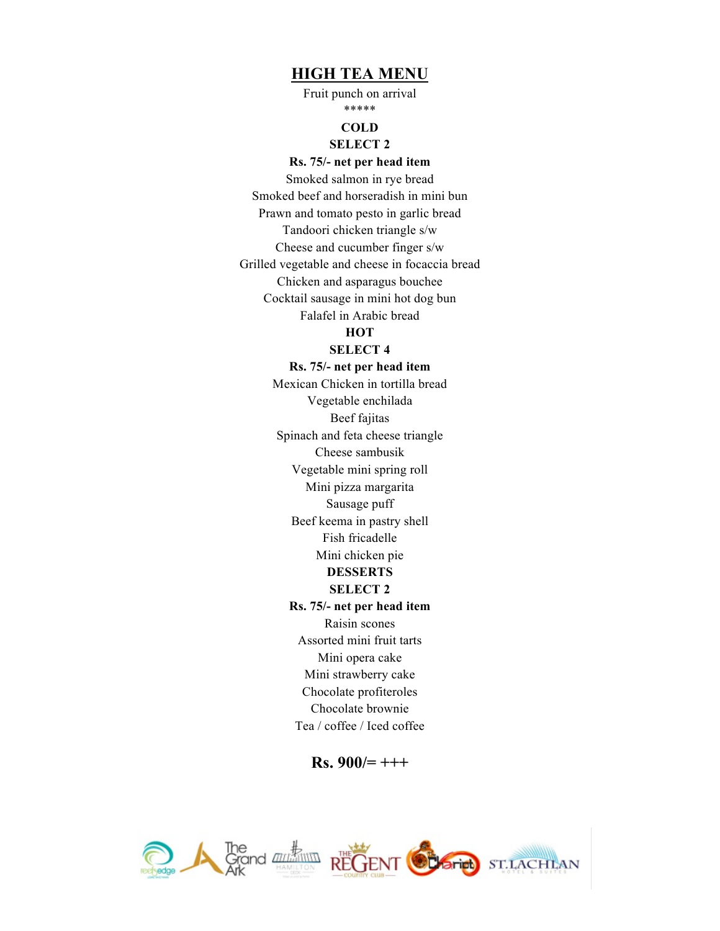### **HIGH TEA MENU**

Fruit punch on arrival \*\*\*\*\*

#### **COLD**

### **SELECT 2**

### **Rs. 75/- net per head item**

Smoked salmon in rye bread Smoked beef and horseradish in mini bun Prawn and tomato pesto in garlic bread Tandoori chicken triangle s/w Cheese and cucumber finger s/w Grilled vegetable and cheese in focaccia bread Chicken and asparagus bouchee Cocktail sausage in mini hot dog bun Falafel in Arabic bread

## **HOT**

#### **SELECT 4**

#### **Rs. 75/- net per head item**

Mexican Chicken in tortilla bread Vegetable enchilada Beef fajitas Spinach and feta cheese triangle Cheese sambusik Vegetable mini spring roll Mini pizza margarita Sausage puff Beef keema in pastry shell Fish fricadelle Mini chicken pie **DESSERTS SELECT 2 Rs. 75/- net per head item** Raisin scones Assorted mini fruit tarts Mini opera cake Mini strawberry cake Chocolate profiteroles Chocolate brownie Tea / coffee / Iced coffee

**Rs. 900/= +++**

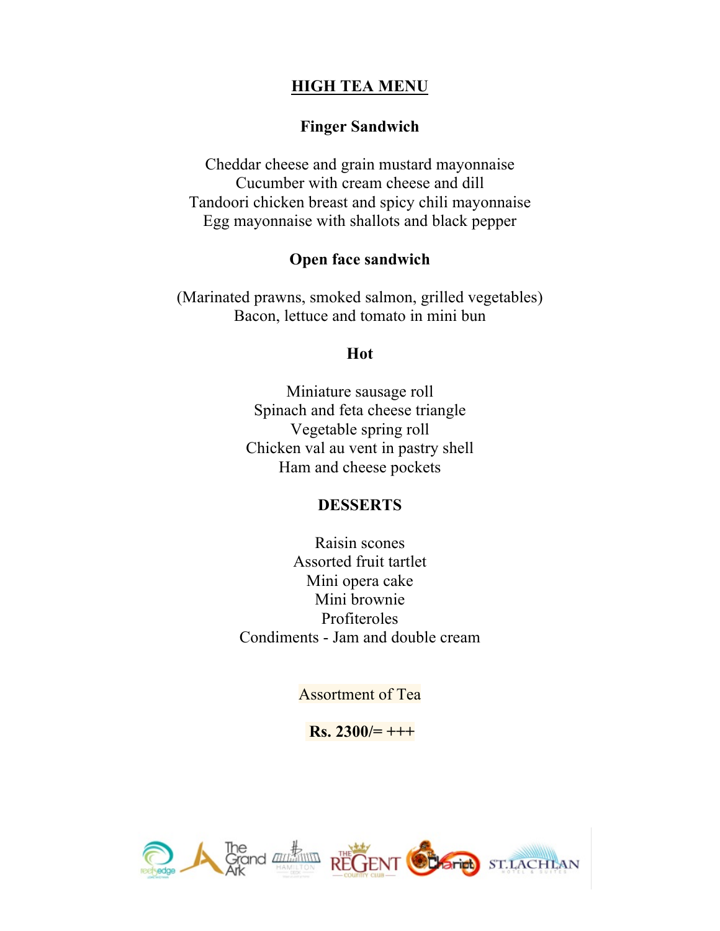# **HIGH TEA MENU**

## **Finger Sandwich**

Cheddar cheese and grain mustard mayonnaise Cucumber with cream cheese and dill Tandoori chicken breast and spicy chili mayonnaise Egg mayonnaise with shallots and black pepper

## **Open face sandwich**

(Marinated prawns, smoked salmon, grilled vegetables) Bacon, lettuce and tomato in mini bun

### **Hot**

Miniature sausage roll Spinach and feta cheese triangle Vegetable spring roll Chicken val au vent in pastry shell Ham and cheese pockets

## **DESSERTS**

Raisin scones Assorted fruit tartlet Mini opera cake Mini brownie Profiteroles Condiments - Jam and double cream

Assortment of Tea

**Rs. 2300/= +++**